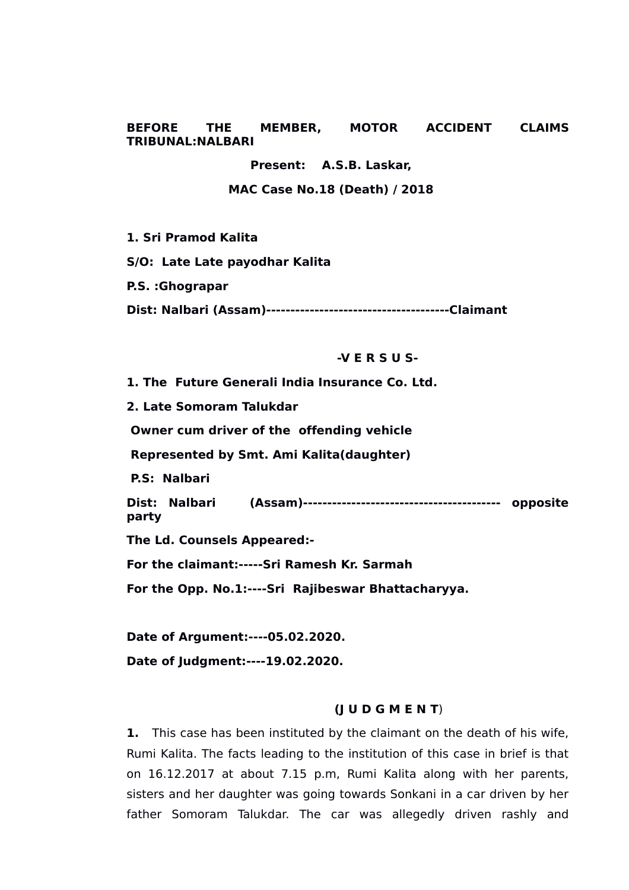## **BEFORE THE MEMBER, MOTOR ACCIDENT CLAIMS TRIBUNAL:NALBARI**

**Present: A.S.B. Laskar,**

 **MAC Case No.18 (Death) / 2018**

**1. Sri Pramod Kalita**

**S/O: Late Late payodhar Kalita**

**P.S. :Ghograpar**

**Dist: Nalbari (Assam)--------------------------------------Claimant**

## **-V E R S U S-**

**1. The Future Generali India Insurance Co. Ltd. 2. Late Somoram Talukdar Owner cum driver of the offending vehicle Represented by Smt. Ami Kalita(daughter) P.S: Nalbari Dist: Nalbari (Assam)----------------------------------------- opposite party The Ld. Counsels Appeared:- For the claimant:-----Sri Ramesh Kr. Sarmah For the Opp. No.1:----Sri Rajibeswar Bhattacharyya.**

**Date of Argument:----05.02.2020. Date of Judgment:----19.02.2020.**

# **(J U D G M E N T**)

**1.** This case has been instituted by the claimant on the death of his wife, Rumi Kalita. The facts leading to the institution of this case in brief is that on 16.12.2017 at about 7.15 p.m, Rumi Kalita along with her parents, sisters and her daughter was going towards Sonkani in a car driven by her father Somoram Talukdar. The car was allegedly driven rashly and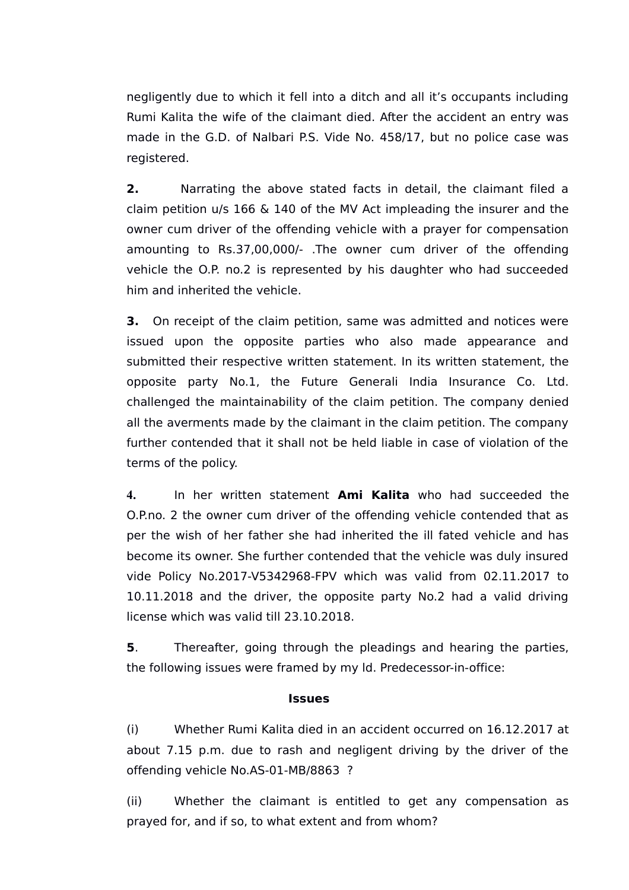negligently due to which it fell into a ditch and all it's occupants including Rumi Kalita the wife of the claimant died. After the accident an entry was made in the G.D. of Nalbari P.S. Vide No. 458/17, but no police case was registered.

**2.** Narrating the above stated facts in detail, the claimant filed a claim petition u/s 166 & 140 of the MV Act impleading the insurer and the owner cum driver of the offending vehicle with a prayer for compensation amounting to Rs.37,00,000/- .The owner cum driver of the offending vehicle the O.P. no.2 is represented by his daughter who had succeeded him and inherited the vehicle.

**3.** On receipt of the claim petition, same was admitted and notices were issued upon the opposite parties who also made appearance and submitted their respective written statement. In its written statement, the opposite party No.1, the Future Generali India Insurance Co. Ltd. challenged the maintainability of the claim petition. The company denied all the averments made by the claimant in the claim petition. The company further contended that it shall not be held liable in case of violation of the terms of the policy.

**4.** In her written statement **Ami Kalita** who had succeeded the O.P.no. 2 the owner cum driver of the offending vehicle contended that as per the wish of her father she had inherited the ill fated vehicle and has become its owner. She further contended that the vehicle was duly insured vide Policy No.2017-V5342968-FPV which was valid from 02.11.2017 to 10.11.2018 and the driver, the opposite party No.2 had a valid driving license which was valid till 23.10.2018.

**5**. Thereafter, going through the pleadings and hearing the parties, the following issues were framed by my ld. Predecessor-in-office:

# **Issues**

(i) Whether Rumi Kalita died in an accident occurred on 16.12.2017 at about 7.15 p.m. due to rash and negligent driving by the driver of the offending vehicle No.AS-01-MB/8863 ?

(ii) Whether the claimant is entitled to get any compensation as prayed for, and if so, to what extent and from whom?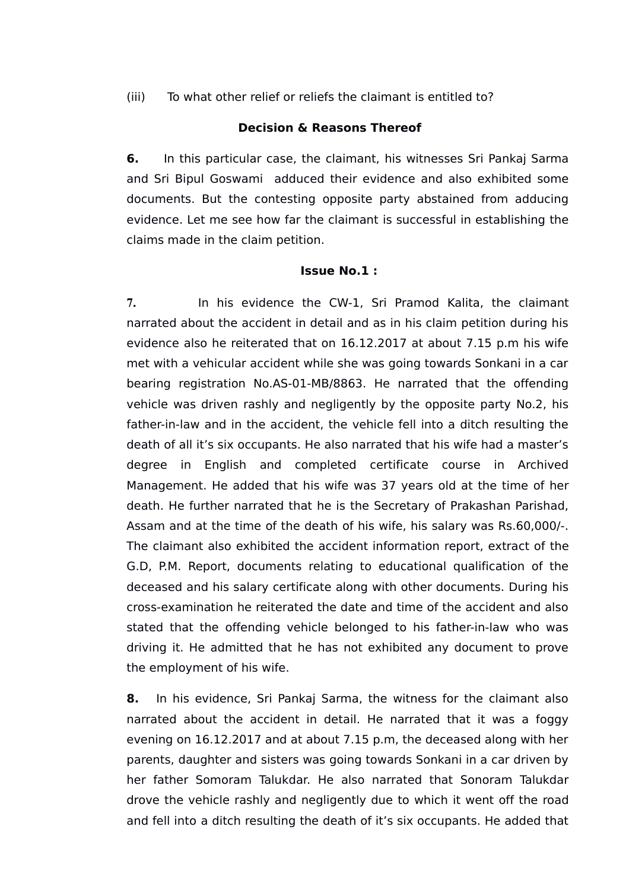(iii) To what other relief or reliefs the claimant is entitled to?

## **Decision & Reasons Thereof**

**6.** In this particular case, the claimant, his witnesses Sri Pankaj Sarma and Sri Bipul Goswami adduced their evidence and also exhibited some documents. But the contesting opposite party abstained from adducing evidence. Let me see how far the claimant is successful in establishing the claims made in the claim petition.

## **Issue No.1 :**

**7.** In his evidence the CW-1, Sri Pramod Kalita, the claimant narrated about the accident in detail and as in his claim petition during his evidence also he reiterated that on 16.12.2017 at about 7.15 p.m his wife met with a vehicular accident while she was going towards Sonkani in a car bearing registration No.AS-01-MB/8863. He narrated that the offending vehicle was driven rashly and negligently by the opposite party No.2, his father-in-law and in the accident, the vehicle fell into a ditch resulting the death of all it's six occupants. He also narrated that his wife had a master's degree in English and completed certificate course in Archived Management. He added that his wife was 37 years old at the time of her death. He further narrated that he is the Secretary of Prakashan Parishad, Assam and at the time of the death of his wife, his salary was Rs.60,000/-. The claimant also exhibited the accident information report, extract of the G.D, P.M. Report, documents relating to educational qualification of the deceased and his salary certificate along with other documents. During his cross-examination he reiterated the date and time of the accident and also stated that the offending vehicle belonged to his father-in-law who was driving it. He admitted that he has not exhibited any document to prove the employment of his wife.

**8.** In his evidence, Sri Pankaj Sarma, the witness for the claimant also narrated about the accident in detail. He narrated that it was a foggy evening on 16.12.2017 and at about 7.15 p.m, the deceased along with her parents, daughter and sisters was going towards Sonkani in a car driven by her father Somoram Talukdar. He also narrated that Sonoram Talukdar drove the vehicle rashly and negligently due to which it went off the road and fell into a ditch resulting the death of it's six occupants. He added that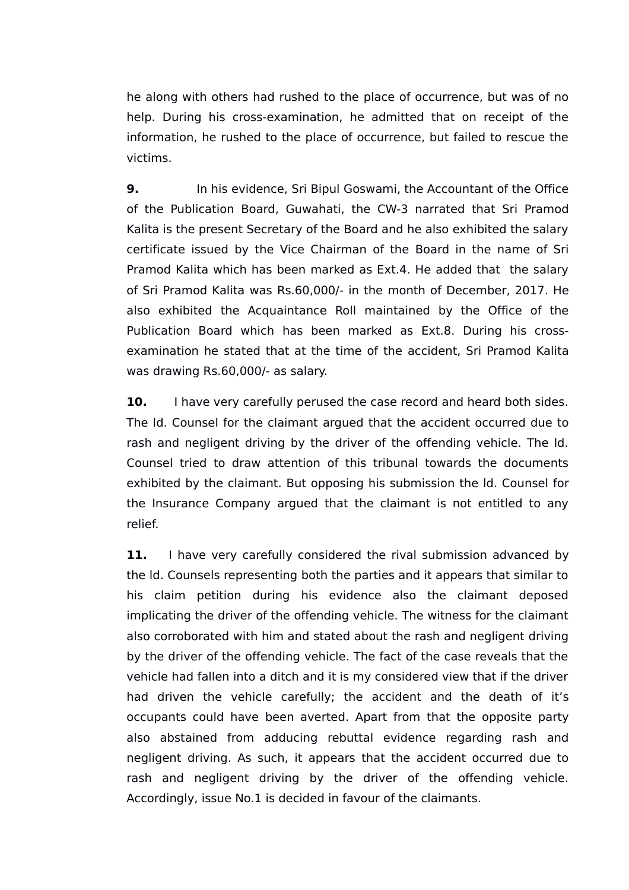he along with others had rushed to the place of occurrence, but was of no help. During his cross-examination, he admitted that on receipt of the information, he rushed to the place of occurrence, but failed to rescue the victims.

**9.** In his evidence, Sri Bipul Goswami, the Accountant of the Office of the Publication Board, Guwahati, the CW-3 narrated that Sri Pramod Kalita is the present Secretary of the Board and he also exhibited the salary certificate issued by the Vice Chairman of the Board in the name of Sri Pramod Kalita which has been marked as Ext.4. He added that the salary of Sri Pramod Kalita was Rs.60,000/- in the month of December, 2017. He also exhibited the Acquaintance Roll maintained by the Office of the Publication Board which has been marked as Ext.8. During his crossexamination he stated that at the time of the accident, Sri Pramod Kalita was drawing Rs.60,000/- as salary.

**10.** I have very carefully perused the case record and heard both sides. The ld. Counsel for the claimant argued that the accident occurred due to rash and negligent driving by the driver of the offending vehicle. The ld. Counsel tried to draw attention of this tribunal towards the documents exhibited by the claimant. But opposing his submission the ld. Counsel for the Insurance Company argued that the claimant is not entitled to any relief.

**11.** I have very carefully considered the rival submission advanced by the ld. Counsels representing both the parties and it appears that similar to his claim petition during his evidence also the claimant deposed implicating the driver of the offending vehicle. The witness for the claimant also corroborated with him and stated about the rash and negligent driving by the driver of the offending vehicle. The fact of the case reveals that the vehicle had fallen into a ditch and it is my considered view that if the driver had driven the vehicle carefully; the accident and the death of it's occupants could have been averted. Apart from that the opposite party also abstained from adducing rebuttal evidence regarding rash and negligent driving. As such, it appears that the accident occurred due to rash and negligent driving by the driver of the offending vehicle. Accordingly, issue No.1 is decided in favour of the claimants.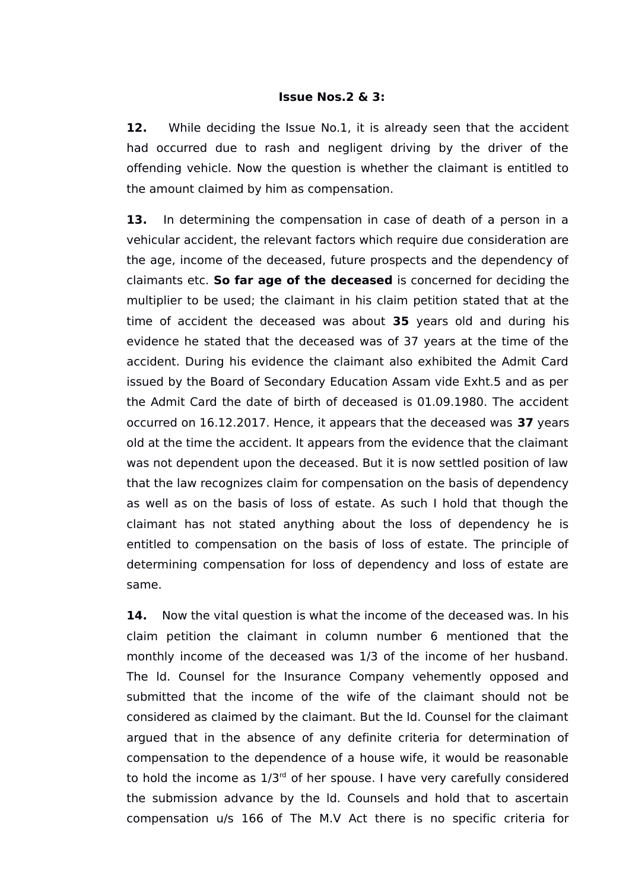### **Issue Nos.2 & 3:**

**12.** While deciding the Issue No.1, it is already seen that the accident had occurred due to rash and negligent driving by the driver of the offending vehicle. Now the question is whether the claimant is entitled to the amount claimed by him as compensation.

**13.** In determining the compensation in case of death of a person in a vehicular accident, the relevant factors which require due consideration are the age, income of the deceased, future prospects and the dependency of claimants etc. **So far age of the deceased** is concerned for deciding the multiplier to be used; the claimant in his claim petition stated that at the time of accident the deceased was about **35** years old and during his evidence he stated that the deceased was of 37 years at the time of the accident. During his evidence the claimant also exhibited the Admit Card issued by the Board of Secondary Education Assam vide Exht.5 and as per the Admit Card the date of birth of deceased is 01.09.1980. The accident occurred on 16.12.2017. Hence, it appears that the deceased was **37** years old at the time the accident. It appears from the evidence that the claimant was not dependent upon the deceased. But it is now settled position of law that the law recognizes claim for compensation on the basis of dependency as well as on the basis of loss of estate. As such I hold that though the claimant has not stated anything about the loss of dependency he is entitled to compensation on the basis of loss of estate. The principle of determining compensation for loss of dependency and loss of estate are same.

**14.** Now the vital question is what the income of the deceased was. In his claim petition the claimant in column number 6 mentioned that the monthly income of the deceased was 1/3 of the income of her husband. The ld. Counsel for the Insurance Company vehemently opposed and submitted that the income of the wife of the claimant should not be considered as claimed by the claimant. But the ld. Counsel for the claimant argued that in the absence of any definite criteria for determination of compensation to the dependence of a house wife, it would be reasonable to hold the income as  $1/3<sup>rd</sup>$  of her spouse. I have very carefully considered the submission advance by the ld. Counsels and hold that to ascertain compensation u/s 166 of The M.V Act there is no specific criteria for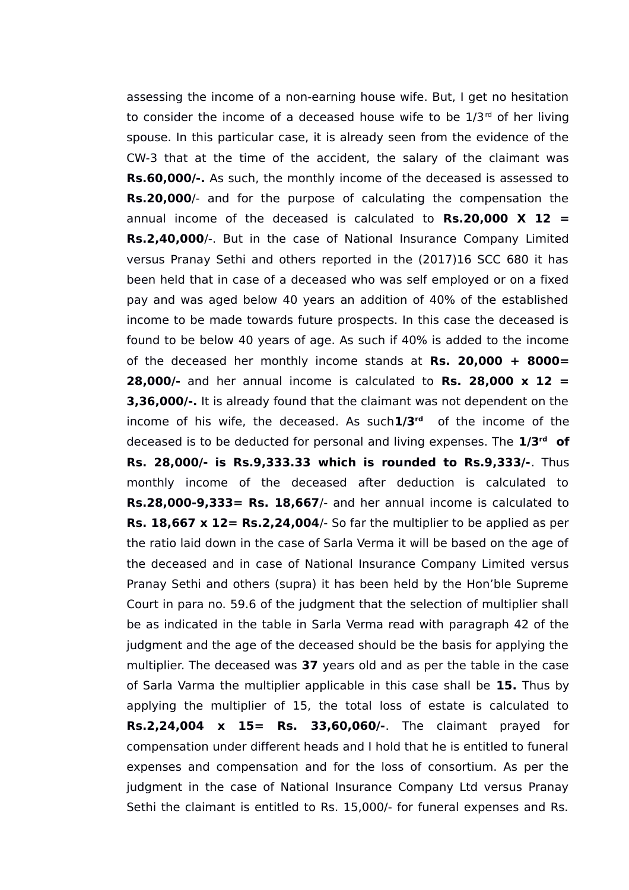assessing the income of a non-earning house wife. But, I get no hesitation to consider the income of a deceased house wife to be  $1/3<sup>rd</sup>$  of her living spouse. In this particular case, it is already seen from the evidence of the CW-3 that at the time of the accident, the salary of the claimant was **Rs.60,000/-.** As such, the monthly income of the deceased is assessed to **Rs.20,000**/- and for the purpose of calculating the compensation the annual income of the deceased is calculated to **Rs.20,000 X 12 = Rs.2,40,000**/-. But in the case of National Insurance Company Limited versus Pranay Sethi and others reported in the (2017)16 SCC 680 it has been held that in case of a deceased who was self employed or on a fixed pay and was aged below 40 years an addition of 40% of the established income to be made towards future prospects. In this case the deceased is found to be below 40 years of age. As such if 40% is added to the income of the deceased her monthly income stands at **Rs. 20,000 + 8000= 28,000/-** and her annual income is calculated to **Rs. 28,000 x 12 = 3,36,000/-.** It is already found that the claimant was not dependent on the income of his wife, the deceased. As such**1/3rd** of the income of the deceased is to be deducted for personal and living expenses. The **1/3rd of Rs. 28,000/- is Rs.9,333.33 which is rounded to Rs.9,333/-**. Thus monthly income of the deceased after deduction is calculated to **Rs.28,000-9,333= Rs. 18,667**/- and her annual income is calculated to **Rs. 18,667 x 12= Rs.2,24,004**/- So far the multiplier to be applied as per the ratio laid down in the case of Sarla Verma it will be based on the age of the deceased and in case of National Insurance Company Limited versus Pranay Sethi and others (supra) it has been held by the Hon'ble Supreme Court in para no. 59.6 of the judgment that the selection of multiplier shall be as indicated in the table in Sarla Verma read with paragraph 42 of the judgment and the age of the deceased should be the basis for applying the multiplier. The deceased was **37** years old and as per the table in the case of Sarla Varma the multiplier applicable in this case shall be **15.** Thus by applying the multiplier of 15, the total loss of estate is calculated to **Rs.2,24,004 x 15= Rs. 33,60,060/-**. The claimant prayed for compensation under different heads and I hold that he is entitled to funeral expenses and compensation and for the loss of consortium. As per the judgment in the case of National Insurance Company Ltd versus Pranay Sethi the claimant is entitled to Rs. 15,000/- for funeral expenses and Rs.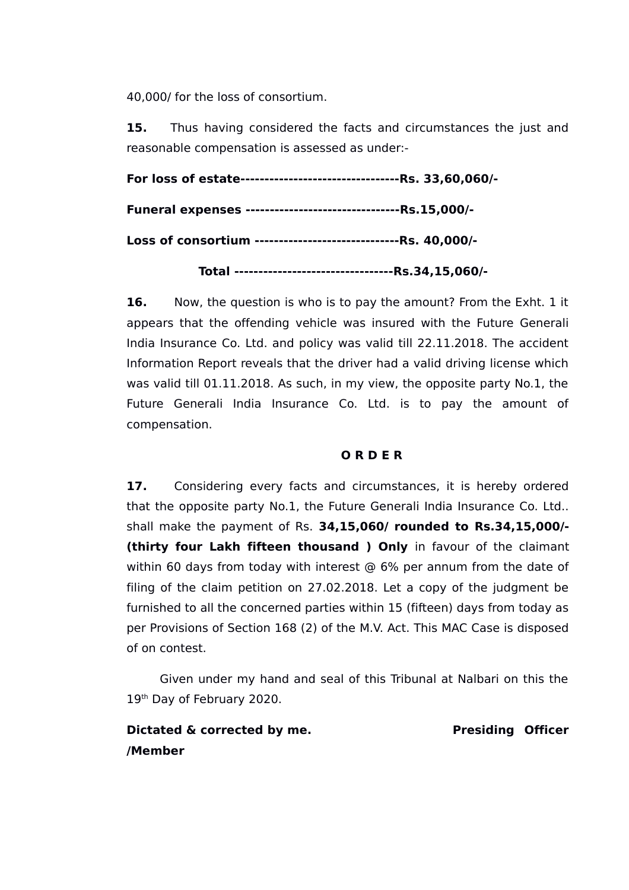40,000/ for the loss of consortium.

**15.** Thus having considered the facts and circumstances the just and reasonable compensation is assessed as under:-

**For loss of estate---------------------------------Rs. 33,60,060/- Funeral expenses --------------------------------Rs.15,000/- Loss of consortium ------------------------------Rs. 40,000/- Total ---------------------------------Rs.34,15,060/-**

**16.** Now, the question is who is to pay the amount? From the Exht. 1 it appears that the offending vehicle was insured with the Future Generali India Insurance Co. Ltd. and policy was valid till 22.11.2018. The accident Information Report reveals that the driver had a valid driving license which was valid till 01.11.2018. As such, in my view, the opposite party No.1, the Future Generali India Insurance Co. Ltd. is to pay the amount of compensation.

# **O R D E R**

17. Considering every facts and circumstances, it is hereby ordered that the opposite party No.1, the Future Generali India Insurance Co. Ltd.. shall make the payment of Rs. **34,15,060/ rounded to Rs.34,15,000/- (thirty four Lakh fifteen thousand ) Only** in favour of the claimant within 60 days from today with interest @ 6% per annum from the date of filing of the claim petition on 27.02.2018. Let a copy of the judgment be furnished to all the concerned parties within 15 (fifteen) days from today as per Provisions of Section 168 (2) of the M.V. Act. This MAC Case is disposed of on contest.

 Given under my hand and seal of this Tribunal at Nalbari on this the 19<sup>th</sup> Day of February 2020.

**Dictated & corrected by me.** Presiding Officer **/Member**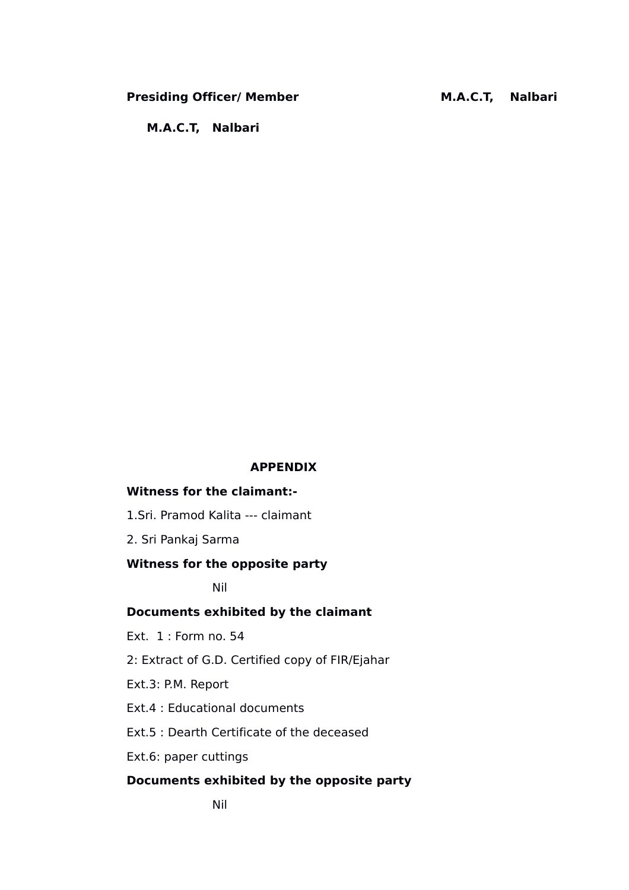## Presiding Officer/ Member **M.A.C.T, Nalbari**

 **M.A.C.T, Nalbari**

#### **APPENDIX**

# **Witness for the claimant:-**

1.Sri. Pramod Kalita --- claimant

2. Sri Pankaj Sarma

# **Witness for the opposite party**

Nil

## **Documents exhibited by the claimant**

Ext. 1 : Form no. 54

2: Extract of G.D. Certified copy of FIR/Ejahar

Ext.3: P.M. Report

Ext.4 : Educational documents

Ext.5 : Dearth Certificate of the deceased

Ext.6: paper cuttings

## **Documents exhibited by the opposite party**

Nil